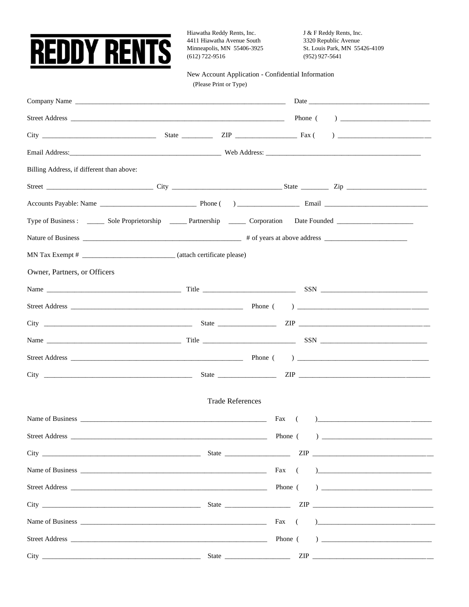|                                                                                                                                                                                                                                                                                                                                                    | $(952)$ 927-5641 |  |  |
|----------------------------------------------------------------------------------------------------------------------------------------------------------------------------------------------------------------------------------------------------------------------------------------------------------------------------------------------------|------------------|--|--|
| New Account Application - Confidential Information<br>(Please Print or Type)                                                                                                                                                                                                                                                                       |                  |  |  |
|                                                                                                                                                                                                                                                                                                                                                    |                  |  |  |
|                                                                                                                                                                                                                                                                                                                                                    |                  |  |  |
|                                                                                                                                                                                                                                                                                                                                                    |                  |  |  |
|                                                                                                                                                                                                                                                                                                                                                    |                  |  |  |
| Billing Address, if different than above:                                                                                                                                                                                                                                                                                                          |                  |  |  |
|                                                                                                                                                                                                                                                                                                                                                    |                  |  |  |
|                                                                                                                                                                                                                                                                                                                                                    |                  |  |  |
|                                                                                                                                                                                                                                                                                                                                                    |                  |  |  |
|                                                                                                                                                                                                                                                                                                                                                    |                  |  |  |
|                                                                                                                                                                                                                                                                                                                                                    |                  |  |  |
| Owner, Partners, or Officers                                                                                                                                                                                                                                                                                                                       |                  |  |  |
|                                                                                                                                                                                                                                                                                                                                                    |                  |  |  |
|                                                                                                                                                                                                                                                                                                                                                    |                  |  |  |
| $\text{City}$ $\text{array}$ $\text{5kate}$ $\text{5kate}$ $\text{5kate}$ $\text{5kate}$ $\text{5kate}$ $\text{5kate}$ $\text{5kate}$ $\text{5kate}$ $\text{5kate}$ $\text{5kate}$ $\text{5kate}$ $\text{5kate}$ $\text{5kate}$ $\text{5kate}$ $\text{5kate}$ $\text{5kate}$ $\text{5kate}$ $\text{5kate}$ $\text{5kate}$ $\text{5kate}$ $\text{5$ |                  |  |  |
|                                                                                                                                                                                                                                                                                                                                                    |                  |  |  |
|                                                                                                                                                                                                                                                                                                                                                    |                  |  |  |
| City<br><u> 1989 - Johann John Harry Harry Harry Harry Harry Harry Harry Harry Harry Harry Harry Harry Harry Harry Harry H</u>                                                                                                                                                                                                                     |                  |  |  |
| <b>Trade References</b>                                                                                                                                                                                                                                                                                                                            |                  |  |  |
|                                                                                                                                                                                                                                                                                                                                                    |                  |  |  |
|                                                                                                                                                                                                                                                                                                                                                    |                  |  |  |
|                                                                                                                                                                                                                                                                                                                                                    |                  |  |  |
|                                                                                                                                                                                                                                                                                                                                                    |                  |  |  |
|                                                                                                                                                                                                                                                                                                                                                    |                  |  |  |
|                                                                                                                                                                                                                                                                                                                                                    |                  |  |  |
|                                                                                                                                                                                                                                                                                                                                                    |                  |  |  |
|                                                                                                                                                                                                                                                                                                                                                    |                  |  |  |
|                                                                                                                                                                                                                                                                                                                                                    |                  |  |  |